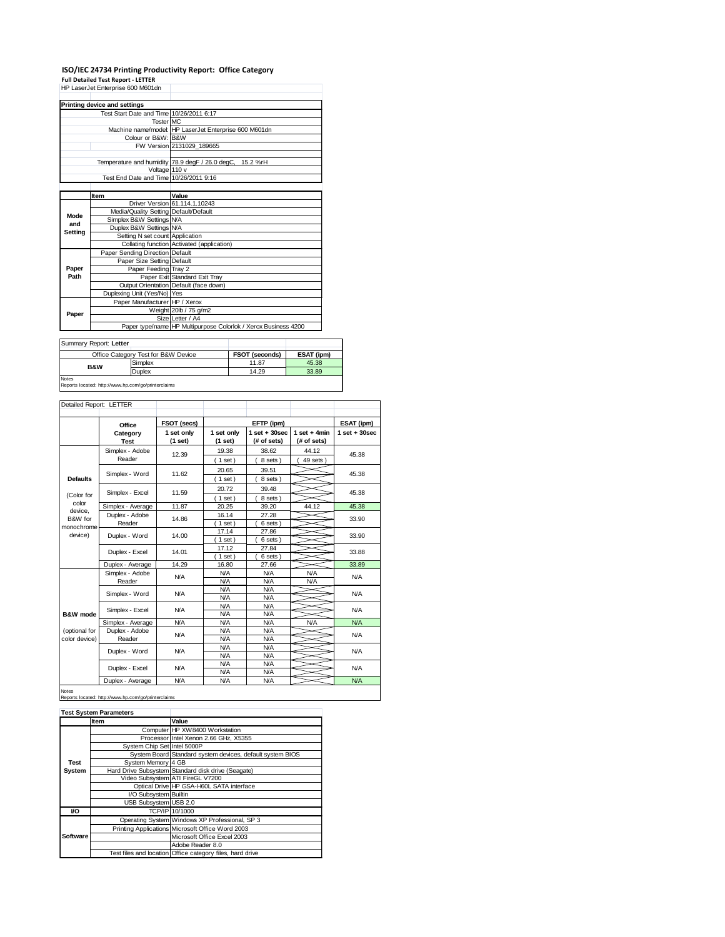## **ISO/IEC 24734 Printing Productivity Report: Office Category Full Detailed Test Report - LETTER** HP LaserJet Enterprise 600 M601dn

|                              | THE LASSING ENTRIDITIES DUO MOUTON       |                                                                |  |  |
|------------------------------|------------------------------------------|----------------------------------------------------------------|--|--|
|                              |                                          |                                                                |  |  |
| Printing device and settings |                                          |                                                                |  |  |
|                              | Test Start Date and Time 10/26/2011 6:17 |                                                                |  |  |
|                              | Tester MC                                |                                                                |  |  |
|                              |                                          | Machine name/model: HP LaserJet Enterprise 600 M601dn          |  |  |
|                              | Colour or B&W: B&W                       |                                                                |  |  |
|                              |                                          | FW Version 2131029 189665                                      |  |  |
|                              |                                          |                                                                |  |  |
|                              |                                          | Temperature and humidity 78.9 degF / 26.0 degC, 15.2 %rH       |  |  |
|                              | Voltage 110 v                            |                                                                |  |  |
|                              | Test End Date and Time 10/26/2011 9:16   |                                                                |  |  |
|                              |                                          |                                                                |  |  |
|                              | Item                                     | Value                                                          |  |  |
|                              |                                          | Driver Version 61.114.1.10243                                  |  |  |
| Mode                         | Media/Quality Setting Default/Default    |                                                                |  |  |
| and                          | Simplex B&W Settings N/A                 |                                                                |  |  |
| Setting                      | Duplex B&W Settings N/A                  |                                                                |  |  |
|                              | Setting N set count Application          |                                                                |  |  |
|                              |                                          | Collating function Activated (application)                     |  |  |
|                              | Paper Sending Direction Default          |                                                                |  |  |
|                              | Paper Size Setting Default               |                                                                |  |  |
| Paper                        | Paper Feeding Tray 2                     |                                                                |  |  |
| Path                         |                                          | Paper Exit Standard Exit Tray                                  |  |  |
|                              |                                          | Output Orientation Default (face down)                         |  |  |
|                              | Duplexing Unit (Yes/No) Yes              |                                                                |  |  |
| Paper                        | Paper Manufacturer HP / Xerox            |                                                                |  |  |
|                              |                                          | Weight 20lb / 75 g/m2                                          |  |  |
|                              |                                          | Size Letter / A4                                               |  |  |
|                              |                                          | Paper type/name HP Multipurpose Colorlok / Xerox Business 4200 |  |  |

| Summary Report: Letter |                                     |                |            |  |
|------------------------|-------------------------------------|----------------|------------|--|
|                        | Office Category Test for B&W Device | FSOT (seconds) | ESAT (ipm) |  |
| <b>B&amp;W</b>         | Simplex                             | 11.87          | 45.38      |  |
|                        | Duplex                              | 14.29          | 33.89      |  |
| <b>Notes</b>           |                                     |                |            |  |

Reports located: http://www.hp.com/go/printerclaims

| Detailed Report: LETTER        |                           |                       |                          |                                  |                               |                   |
|--------------------------------|---------------------------|-----------------------|--------------------------|----------------------------------|-------------------------------|-------------------|
|                                | Office                    | FSOT (secs)           |                          | EFTP (ipm)                       |                               | ESAT (ipm)        |
|                                | Category<br><b>Test</b>   | 1 set only<br>(1 set) | 1 set only<br>(1 set)    | $1$ set $+30$ sec<br>(# of sets) | $1$ set + 4min<br>(# of sets) | $1$ set $+30$ sec |
|                                | Simplex - Adobe           | 12.39                 | 19.38                    | 38.62                            | 44.12                         | 45.38             |
|                                | Reader                    |                       | $1$ set)                 | 8 sets)                          | 49 sets)                      |                   |
| <b>Defaults</b>                | Simplex - Word            | 11.62                 | 20.65<br>$1$ set)        | 39.51<br>8 sets)                 |                               | 45.38             |
|                                | Simplex - Excel           | 11.59                 | 20.72                    | 39.48                            |                               | 45.38             |
| (Color for<br>color            |                           |                       | (1 set)                  | 8 sets)                          |                               |                   |
| device.                        | Simplex - Average         | 11.87                 | 20.25                    | 39.20                            | 44.12                         | 45.38             |
| B&W for                        | Duplex - Adobe<br>Reader  | 14.86                 | 16.14<br>$1$ set)        | 27.28<br>6 sets                  |                               | 33.90             |
| monochrome<br>device)          | Duplex - Word             | 14.00                 | 17.14                    | 27.86                            |                               | 33.90             |
|                                |                           |                       | $1$ set)<br>17.12        | 6 sets)<br>27.84                 |                               |                   |
|                                | Duplex - Excel            | 14.01                 | $1$ set)                 | 6 sets)                          |                               | 33.88             |
|                                | Duplex - Average          | 14.29                 | 16.80                    | 27.66                            |                               | 33.89             |
|                                | Simplex - Adobe<br>Reader | <b>N/A</b>            | <b>N/A</b><br><b>N/A</b> | N/A<br>N/A                       | <b>N/A</b><br><b>N/A</b>      | <b>N/A</b>        |
|                                | Simplex - Word            | <b>N/A</b>            | <b>N/A</b><br><b>N/A</b> | N/A<br>N/A                       |                               | N/A               |
| <b>B&amp;W</b> mode            | Simplex - Excel           | N/A                   | <b>N/A</b><br><b>N/A</b> | N/A<br>N/A                       |                               | N/A               |
|                                | Simplex - Average         | <b>N/A</b>            | <b>N/A</b>               | N/A                              | <b>N/A</b>                    | <b>N/A</b>        |
| (optional for<br>color device) | Duplex - Adobe<br>Reader  | <b>N/A</b>            | <b>N/A</b><br><b>N/A</b> | N/A<br>N/A                       |                               | N/A               |
|                                | Duplex - Word             | <b>N/A</b>            | <b>N/A</b><br><b>N/A</b> | N/A<br>N/A                       |                               | N/A               |
|                                | Duplex - Excel            | <b>N/A</b>            | <b>N/A</b>               | N/A                              |                               | N/A               |
|                                | Duplex - Average          | <b>N/A</b>            | <b>N/A</b><br><b>N/A</b> | N/A<br>N/A                       |                               | <b>N/A</b>        |

## Notes Reports located: http://www.hp.com/go/printerclaims

|          | <b>Test System Parameters</b> |                                                           |
|----------|-------------------------------|-----------------------------------------------------------|
|          | ltem                          | Value                                                     |
|          |                               | Computer HP XW8400 Workstation                            |
|          |                               | Processor Intel Xenon 2.66 GHz, X5355                     |
|          | System Chip Set Intel 5000P   |                                                           |
|          |                               | System Board Standard system devices, default system BIOS |
| Test     | System Memory 4 GB            |                                                           |
| System   |                               | Hard Drive Subsystem Standard disk drive (Seagate)        |
|          |                               | Video Subsystem ATI FireGL V7200                          |
|          |                               | Optical Drive HP GSA-H60L SATA interface                  |
|          | I/O Subsystem Builtin         |                                                           |
|          | USB Subsystem USB 2.0         |                                                           |
| VO       |                               | TCP/IP 10/1000                                            |
|          |                               | Operating System Windows XP Professional, SP 3            |
|          |                               | Printing Applications Microsoft Office Word 2003          |
| Software |                               | Microsoft Office Excel 2003                               |
|          |                               | Adobe Reader 8.0                                          |
|          |                               | Test files and location Office category files, hard drive |